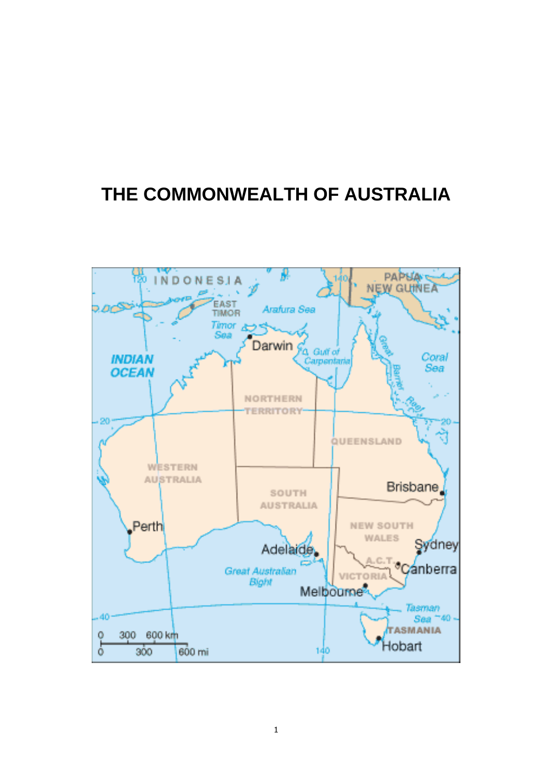# **THE COMMONWEALTH OF AUSTRALIA**

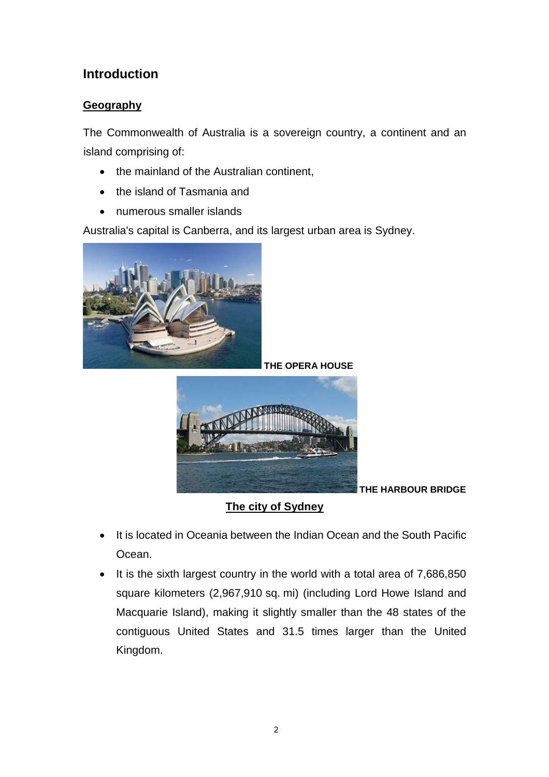# **Introduction**

# **Geography**

The Commonwealth of Australia is a sovereign country, a [continent](https://en.wikipedia.org/wiki/Continent) and an [island](https://en.wikipedia.org/wiki/Island) comprising of:

- the mainland of the [Australian continent,](https://en.wikipedia.org/wiki/Australia_(continent))
- the island of [Tasmania](https://en.wikipedia.org/wiki/Tasmania) and
- numerous [smaller islands](https://en.wikipedia.org/wiki/List_of_islands_of_Australia)

Australia's capital is [Canberra,](https://en.wikipedia.org/wiki/Canberra) and its largest [urban area](https://en.wikipedia.org/wiki/List_of_cities_in_Australia_by_population) is [Sydney.](https://en.wikipedia.org/wiki/Sydney)



**THE OPERA HOUSE**



**THE HARBOUR BRIDGE**

**The city of Sydney**

- It is located in [Oceania](https://en.wikipedia.org/wiki/Oceania) between the [Indian Ocean](https://en.wikipedia.org/wiki/Indian_Ocean) and the South [Pacific](https://en.wikipedia.org/wiki/Pacific_Ocean)  [Ocean.](https://en.wikipedia.org/wiki/Pacific_Ocean)
- It is the [sixth largest country](https://en.wikipedia.org/wiki/List_of_countries_and_outlying_territories_by_total_area) in the world with a total area of 7,686,850 square kilometers (2,967,910 sq. mi) (including [Lord Howe Island](https://en.wikipedia.org/wiki/Lord_Howe_Island) and [Macquarie Island\)](https://en.wikipedia.org/wiki/Macquarie_Island), making it slightly smaller than the 48 states of the [contiguous United States](https://en.wikipedia.org/wiki/Contiguous_United_States) and 31.5 times larger than the [United](https://en.wikipedia.org/wiki/United_Kingdom)  [Kingdom.](https://en.wikipedia.org/wiki/United_Kingdom)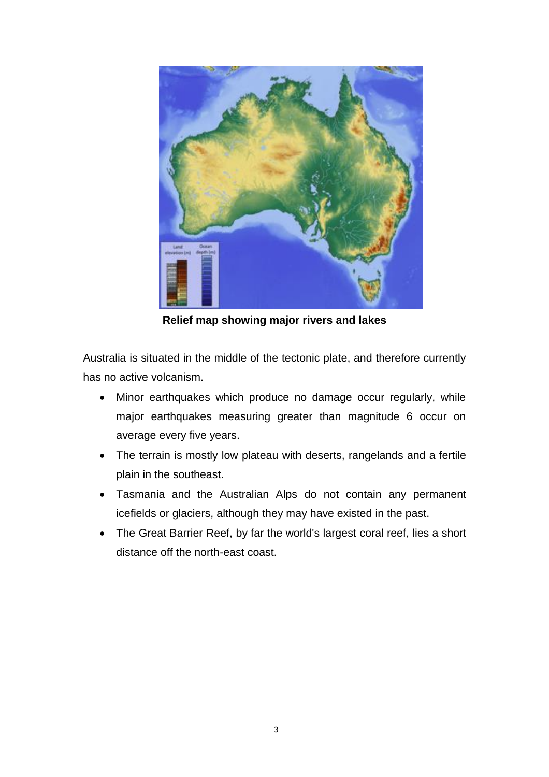

**Relief map showing major rivers and lakes**

Australia is situated in the middle of the tectonic plate, and therefore currently has no active volcanism.

- Minor earthquakes which produce no damage occur regularly, while major earthquakes measuring greater than magnitude 6 occur on average every five years.
- The terrain is mostly low [plateau](https://en.wikipedia.org/wiki/Plateau) with deserts, rangelands and a fertile plain in the southeast.
- Tasmania and the [Australian Alps](https://en.wikipedia.org/wiki/Australian_Alps) do not contain any permanent [icefields](https://en.wikipedia.org/wiki/Icefields) or [glaciers,](https://en.wikipedia.org/wiki/Glaciers) although they may have existed in the past.
- The [Great Barrier Reef,](https://en.wikipedia.org/wiki/Great_Barrier_Reef) by far the world's largest [coral](https://en.wikipedia.org/wiki/Coral) [reef,](https://en.wikipedia.org/wiki/Reef) lies a short distance off the north-east coast.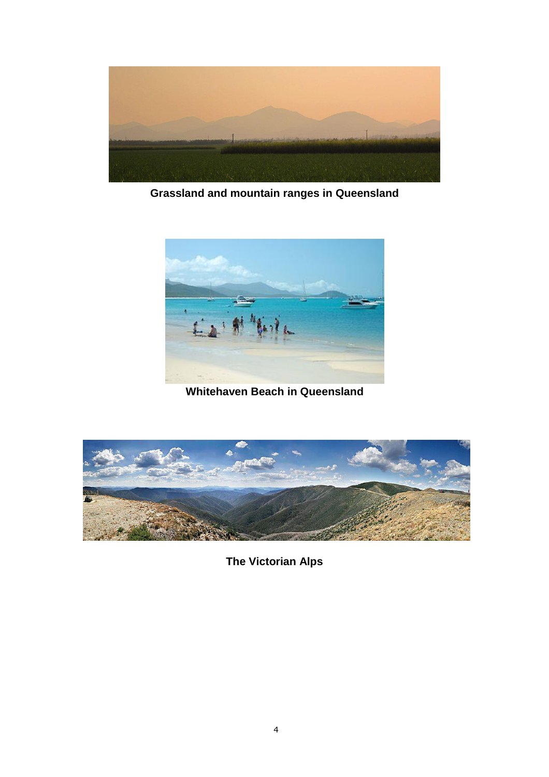

**Grassland and mountain ranges in [Queensland](https://en.wikipedia.org/wiki/Queensland)**



**[Whitehaven Beach](https://en.wikipedia.org/wiki/Whitehaven_Beach) in [Queensland](https://en.wikipedia.org/wiki/Queensland)**



**The Victorian Alps**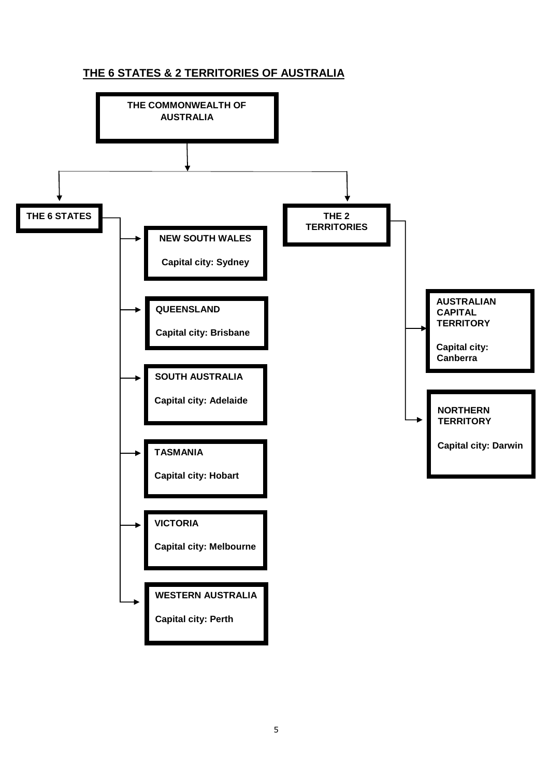# **THE 6 STATES & 2 TERRITORIES OF AUSTRALIA**

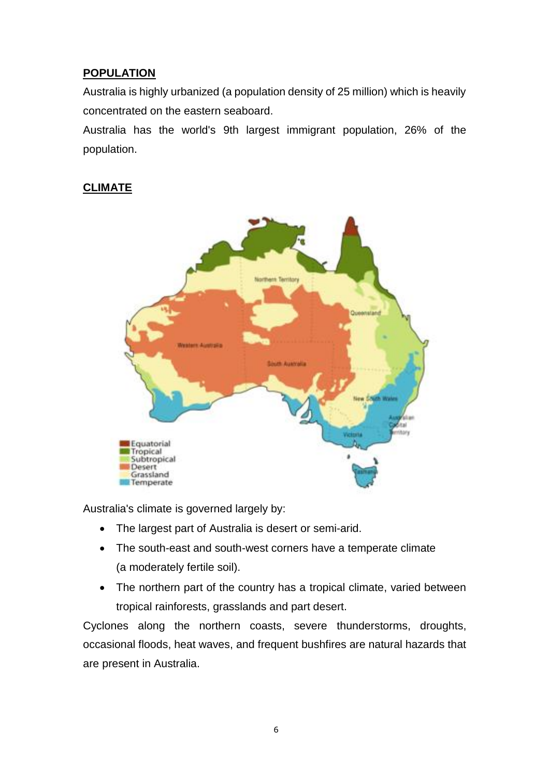# **POPULATION**

Australia is highly urbanized (a population density of 25 million) which is heavily concentrated on the eastern seaboard.

Australia has the world's [9th largest](https://en.wikipedia.org/wiki/List_of_sovereign_states_and_dependent_territories_by_immigrant_population) [immigrant population,](https://en.wikipedia.org/wiki/Immigration_to_Australia) 26% of the population.

## **CLIMATE**



Australia's climate is governed largely by:

- The largest part of [Australia](https://en.wikipedia.org/wiki/Australia) is [desert](https://en.wikipedia.org/wiki/Desert) or [semi-arid.](https://en.wikipedia.org/wiki/Semi-arid_climate)
- The south-east and south-west corners have a [temperate](https://en.wikipedia.org/wiki/Temperateness) climate (a moderately [fertile soil\)](https://en.wikipedia.org/wiki/Fertility_(soil)).
- The northern part of the country has a [tropical climate,](https://en.wikipedia.org/wiki/Tropical_climate) varied between [tropical rainforests,](https://en.wikipedia.org/wiki/Tropical_rainforest) [grasslands](https://en.wikipedia.org/wiki/Grassland) and part desert.

[Cyclones](https://en.wikipedia.org/wiki/Cyclone) along the northern coasts, severe [thunderstorms,](https://en.wikipedia.org/wiki/Severe_storms_in_Australia) [droughts,](https://en.wikipedia.org/wiki/Drought_in_Australia) occasional [floods,](https://en.wikipedia.org/wiki/Floods_in_Australia) [heat waves,](https://en.wikipedia.org/wiki/Heat_waves) and frequent [bushfires](https://en.wikipedia.org/wiki/Bushfires_in_Australia) are natural hazards that are present in Australia.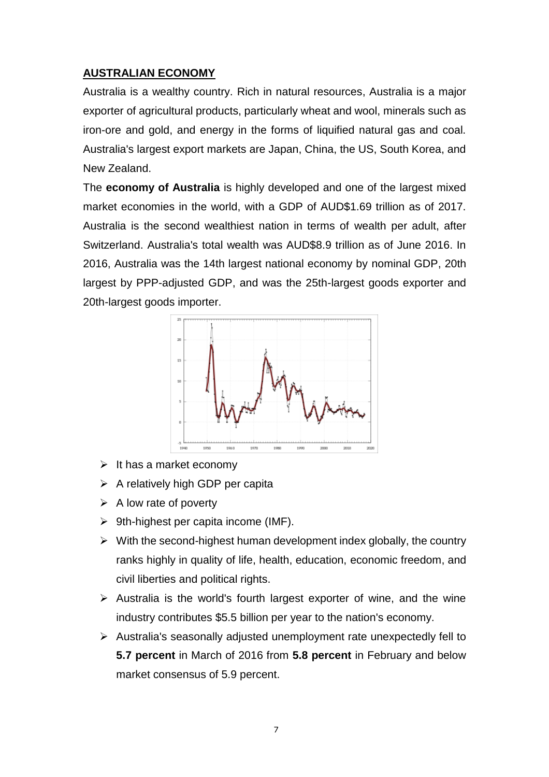## **AUSTRALIAN ECONOMY**

Australia is a wealthy country. [Rich in natural resources,](https://en.wikipedia.org/wiki/Mining_in_Australia) Australia is a major exporter of agricultural products, particularly wheat and wool, minerals such as iron-ore and gold, and energy in the forms of liquified natural gas and coal. Australia's largest export markets are Japan, China, the US, South Korea, and New Zealand.

The **economy of Australia** is [highly developed](https://en.wikipedia.org/wiki/Developed_country) and one of the largest [mixed](https://en.wikipedia.org/wiki/Mixed_market)  [market](https://en.wikipedia.org/wiki/Mixed_market) economies in the world, with a GDP of AUD\$1.69 trillion as of 2017. Australia is the second wealthiest nation in terms of [wealth](https://en.wikipedia.org/wiki/Wealth) per adult, after [Switzerland.](https://en.wikipedia.org/wiki/Switzerland) Australia's total wealth was AUD\$8.9 trillion as of June 2016. In 2016, Australia was the 14th largest national economy by [nominal GDP,](https://en.wikipedia.org/wiki/Nominal_GDP) 20th largest by [PPP-adjusted](https://en.wikipedia.org/wiki/Purchasing_power_parity) GDP, and was the 25th-largest goods exporter and 20th-largest goods importer.



- $\triangleright$  It has a market economy
- $\triangleright$  A relatively high GDP per capita
- $\triangleright$  A low rate of poverty
- $\triangleright$  [9th-highest per capita income](https://en.wikipedia.org/wiki/List_of_countries_by_GDP_(nominal)_per_capita) (IMF).
- $\triangleright$  With the second-highest [human development index](https://en.wikipedia.org/wiki/List_of_countries_by_Human_Development_Index) globally, the country [ranks highly](https://en.wikipedia.org/wiki/International_rankings_of_Australia) in quality of life, health, education, [economic freedom,](https://en.wikipedia.org/wiki/Economic_freedom) and [civil liberties](https://en.wikipedia.org/wiki/Civil_liberties) and political rights.
- $\triangleright$  Australia is the world's fourth largest exporter of wine, and the wine industry contributes \$5.5 billion per year to the nation's economy.
- $\triangleright$  Australia's seasonally adjusted unemployment rate unexpectedly fell to **5.7 percent** in March of 2016 from **5.8 percent** in February and below market consensus of 5.9 percent.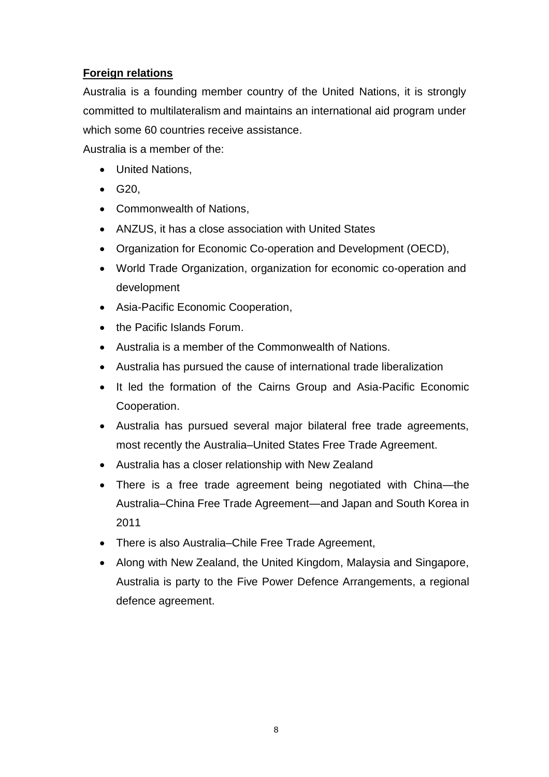# **Foreign relations**

Australia is a founding member country of the United Nations, it is strongly committed to [multilateralism](https://en.wikipedia.org/wiki/Multilateralism) and maintains an international aid program under which some 60 countries receive assistance.

Australia is a member of the:

- [United Nations,](https://en.wikipedia.org/wiki/United_Nations)
- G20.
- [Commonwealth of Nations,](https://en.wikipedia.org/wiki/Commonwealth_of_Nations)
- [ANZUS,](https://en.wikipedia.org/wiki/ANZUS) it has a close association with United States
- Organization [for Economic Co-operation and Development](https://en.wikipedia.org/wiki/Organisation_for_Economic_Co-operation_and_Development) (OECD),
- [World Trade Organization,](https://en.wikipedia.org/wiki/World_Trade_Organization) organization for economic co-operation and development
- [Asia-Pacific Economic Cooperation,](https://en.wikipedia.org/wiki/Asia-Pacific_Economic_Cooperation)
- the [Pacific Islands Forum.](https://en.wikipedia.org/wiki/Pacific_Islands_Forum)
- Australia is a member of the [Commonwealth of Nations.](https://en.wikipedia.org/wiki/Commonwealth_of_Nations)
- Australia has pursued the cause of international [trade liberalization](https://en.wikipedia.org/wiki/Trade_liberalisation)
- It led the formation of the [Cairns Group](https://en.wikipedia.org/wiki/Cairns_Group) and Asia-Pacific Economic [Cooperation.](https://en.wikipedia.org/wiki/Asia-Pacific_Economic_Cooperation)
- Australia has pursued several major bilateral free trade agreements, most recently the [Australia–United States Free Trade Agreement.](https://en.wikipedia.org/wiki/Australia%E2%80%93United_States_Free_Trade_Agreement)
- Australia has a [closer](https://en.wikipedia.org/wiki/Closer_Economic_Relations) relationship with New Zealand
- There is a free trade agreement being negotiated with China—the [Australia–China Free Trade Agreement—](https://en.wikipedia.org/wiki/Australia%E2%80%93China_Free_Trade_Agreement)and Japan and South Korea in 2011
- There is also [Australia–Chile Free Trade Agreement,](https://en.wikipedia.org/wiki/Australia%E2%80%93Chile_Free_Trade_Agreement)
- Along with New Zealand, the United Kingdom, Malaysia and Singapore, Australia is party to the [Five Power Defence Arrangements,](https://en.wikipedia.org/wiki/Five_Power_Defence_Arrangements) a regional defence agreement.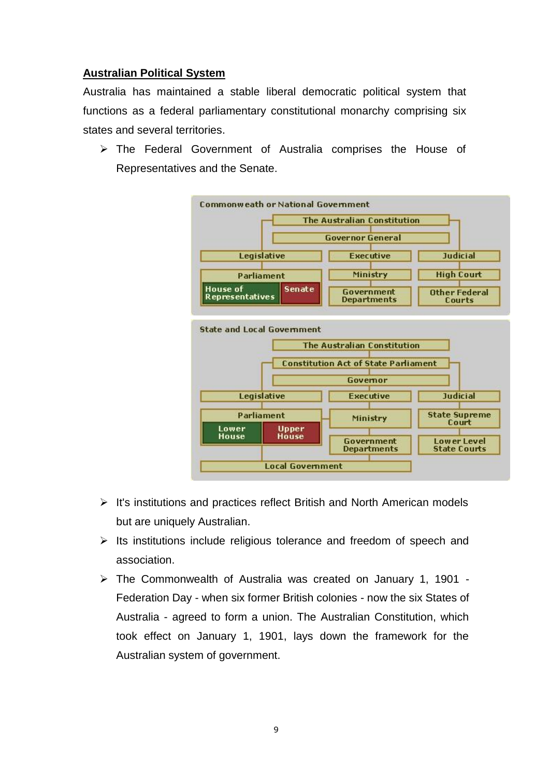## **Australian Political System**

Australia has maintained a stable [liberal democratic](https://en.wikipedia.org/wiki/Liberal_democracy) political system that functions as a [federal](https://en.wikipedia.org/wiki/Federalism) [parliamentary](https://en.wikipedia.org/wiki/Parliamentary_system) [constitutional monarchy](https://en.wikipedia.org/wiki/Constitutional_monarchy) comprising [six](https://en.wikipedia.org/wiki/States_and_territories_of_Australia)  [states and several territories.](https://en.wikipedia.org/wiki/States_and_territories_of_Australia)

 The Federal Government of Australia comprises the House of Representatives and the Senate.



- $\triangleright$  It's institutions and practices reflect British and North American models but are uniquely Australian.
- $\triangleright$  Its institutions include religious tolerance and freedom of speech and association.
- The Commonwealth of Australia was created on January 1, 1901 Federation Day - when six former British colonies - now the six States of Australia - agreed to form a union. The Australian Constitution, which took effect on January 1, 1901, lays down the framework for the Australian system of government.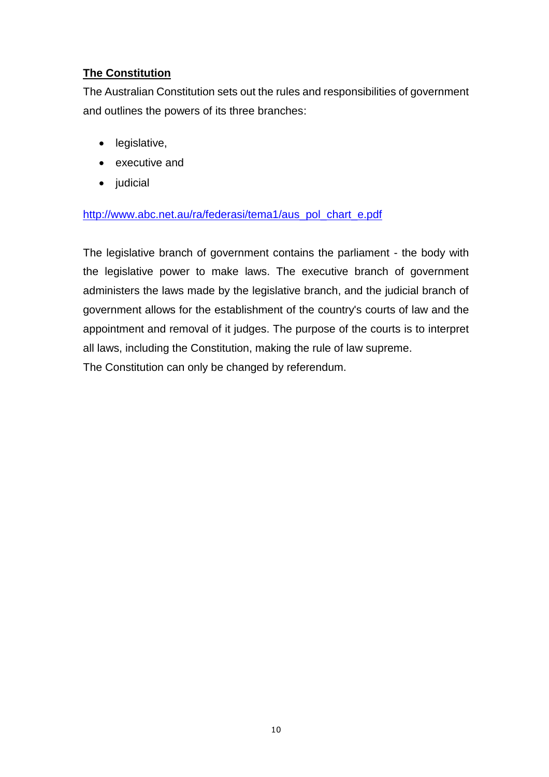# **The Constitution**

The Australian Constitution sets out the rules and responsibilities of government and outlines the powers of its three branches:

- legislative,
- executive and
- judicial

#### [http://www.abc.net.au/ra/federasi/tema1/aus\\_pol\\_chart\\_e.pdf](http://www.abc.net.au/ra/federasi/tema1/aus_pol_chart_e.pdf)

The legislative branch of government contains the parliament - the body with the legislative power to make laws. The executive branch of government administers the laws made by the legislative branch, and the judicial branch of government allows for the establishment of the country's courts of law and the appointment and removal of it judges. The purpose of the courts is to interpret all laws, including the Constitution, making the rule of law supreme. The Constitution can only be changed by referendum.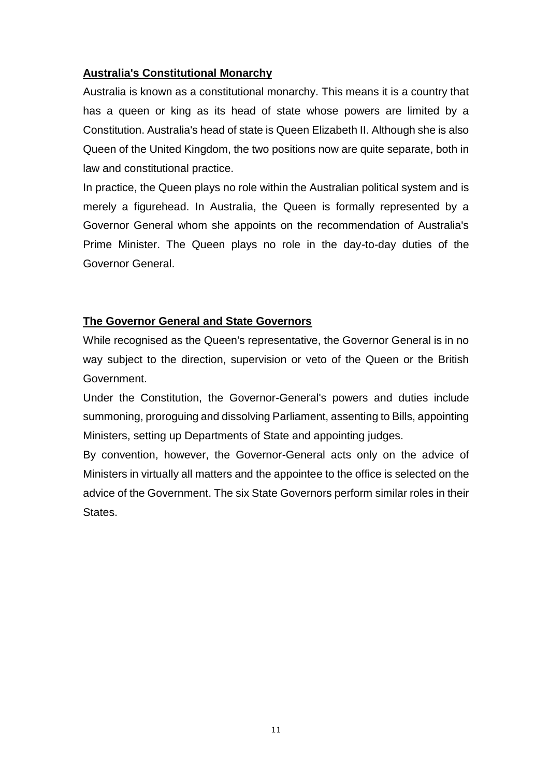#### **Australia's Constitutional Monarchy**

Australia is known as a constitutional monarchy. This means it is a country that has a queen or king as its head of state whose powers are limited by a Constitution. Australia's head of state is Queen Elizabeth II. Although she is also Queen of the United Kingdom, the two positions now are quite separate, both in law and constitutional practice.

In practice, the Queen plays no role within the Australian political system and is merely a figurehead. In Australia, the Queen is formally represented by a Governor General whom she appoints on the recommendation of Australia's Prime Minister. The Queen plays no role in the day-to-day duties of the Governor General.

#### **The Governor General and State Governors**

While recognised as the Queen's representative, the Governor General is in no way subject to the direction, supervision or veto of the Queen or the British Government.

Under the Constitution, the Governor-General's powers and duties include summoning, proroguing and dissolving Parliament, assenting to Bills, appointing Ministers, setting up Departments of State and appointing judges.

By convention, however, the Governor-General acts only on the advice of Ministers in virtually all matters and the appointee to the office is selected on the advice of the Government. The six State Governors perform similar roles in their States.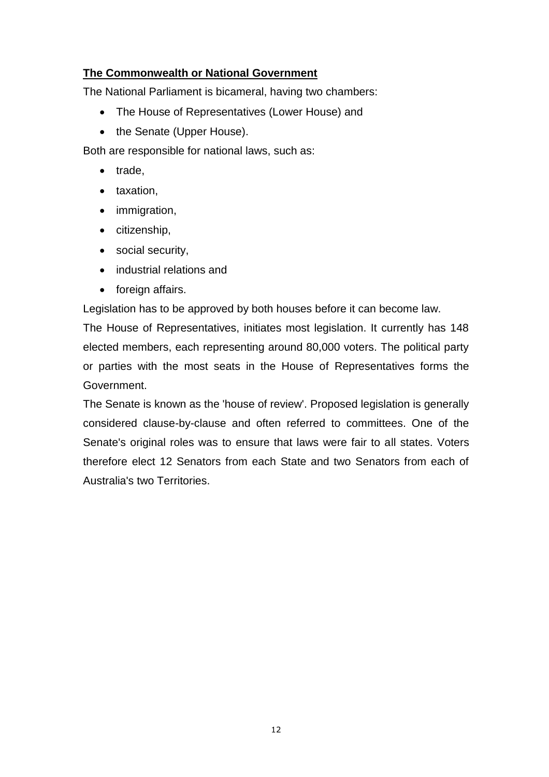#### **The Commonwealth or National Government**

The National Parliament is bicameral, having two chambers:

- The House of Representatives (Lower House) and
- the Senate (Upper House).

Both are responsible for national laws, such as:

- trade,
- taxation,
- immigration,
- citizenship,
- social security,
- industrial relations and
- foreign affairs.

Legislation has to be approved by both houses before it can become law.

The House of Representatives, initiates most legislation. It currently has 148 elected members, each representing around 80,000 voters. The political party or parties with the most seats in the House of Representatives forms the Government.

The Senate is known as the 'house of review'. Proposed legislation is generally considered clause-by-clause and often referred to committees. One of the Senate's original roles was to ensure that laws were fair to all states. Voters therefore elect 12 Senators from each State and two Senators from each of Australia's two Territories.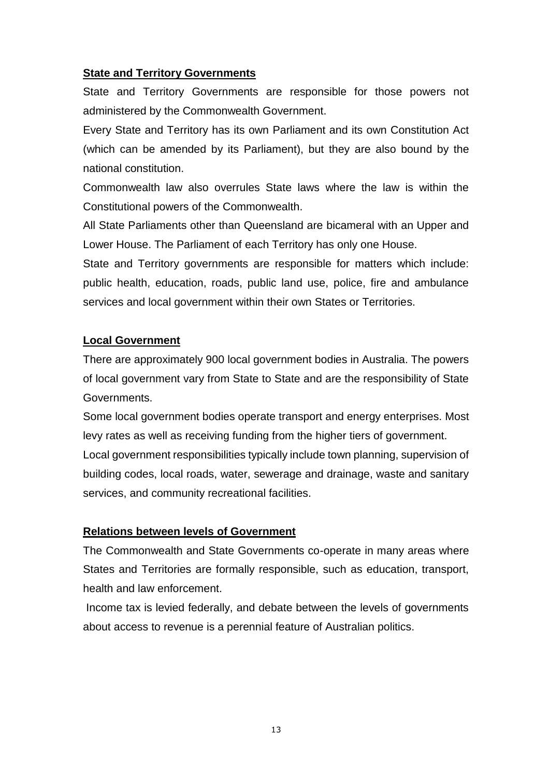#### **State and Territory Governments**

State and Territory Governments are responsible for those powers not administered by the Commonwealth Government.

Every State and Territory has its own Parliament and its own Constitution Act (which can be amended by its Parliament), but they are also bound by the national constitution.

Commonwealth law also overrules State laws where the law is within the Constitutional powers of the Commonwealth.

All State Parliaments other than Queensland are bicameral with an Upper and Lower House. The Parliament of each Territory has only one House.

State and Territory governments are responsible for matters which include: public health, education, roads, public land use, police, fire and ambulance services and local government within their own States or Territories.

#### **Local Government**

There are approximately 900 local government bodies in Australia. The powers of local government vary from State to State and are the responsibility of State Governments.

Some local government bodies operate transport and energy enterprises. Most levy rates as well as receiving funding from the higher tiers of government. Local government responsibilities typically include town planning, supervision of building codes, local roads, water, sewerage and drainage, waste and sanitary services, and community recreational facilities.

#### **Relations between levels of Government**

The Commonwealth and State Governments co-operate in many areas where States and Territories are formally responsible, such as education, transport, health and law enforcement.

Income tax is levied federally, and debate between the levels of governments about access to revenue is a perennial feature of Australian politics.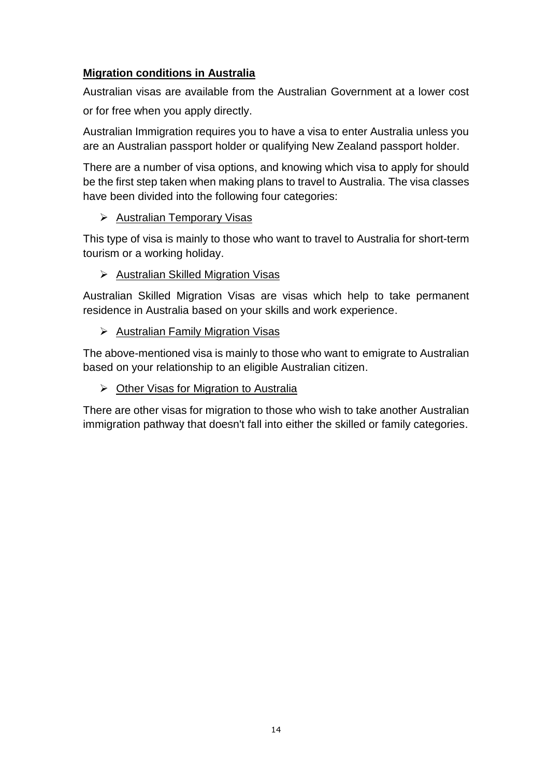# **Migration conditions in Australia**

Australian visas are available from the Australian Government at a lower cost or for free when you apply directly.

Australian Immigration requires you to have a visa to enter Australia unless you are an Australian passport holder or qualifying New Zealand passport holder.

There are a number of visa options, and knowing which visa to apply for should be the first step taken when making plans to travel to Australia. The visa classes have been divided into the following four categories:

# [Australian Temporary Visas](http://www.visabureau.com/australia/australian-immigration.aspx#TemporaryVisas)

This type of visa is mainly to those who want to travel to Australia for short-term tourism or a working holiday.

## $\triangleright$  [Australian Skilled Migration Visas](http://www.visabureau.com/australia/australian-immigration.aspx#PermanentVisas)

[Australian Skilled Migration Visas](http://www.visabureau.com/australia/australian-immigration.aspx#PermanentVisas) are visas which help to take permanent residence in Australia based on your skills and work experience.

## $\triangleright$  [Australian Family Migration Visas](http://www.visabureau.com/australia/australian-immigration.aspx#FamilyVisas)

The above-mentioned visa is mainly to those who want to emigrate to Australian based on your relationship to an eligible Australian citizen.

#### $\triangleright$  [Other Visas for Migration to Australia](http://www.visabureau.com/australia/australian-immigration.aspx#OtherVisas)

There are other visas for migration to those who wish to take another Australian immigration pathway that doesn't fall into either the skilled or family categories.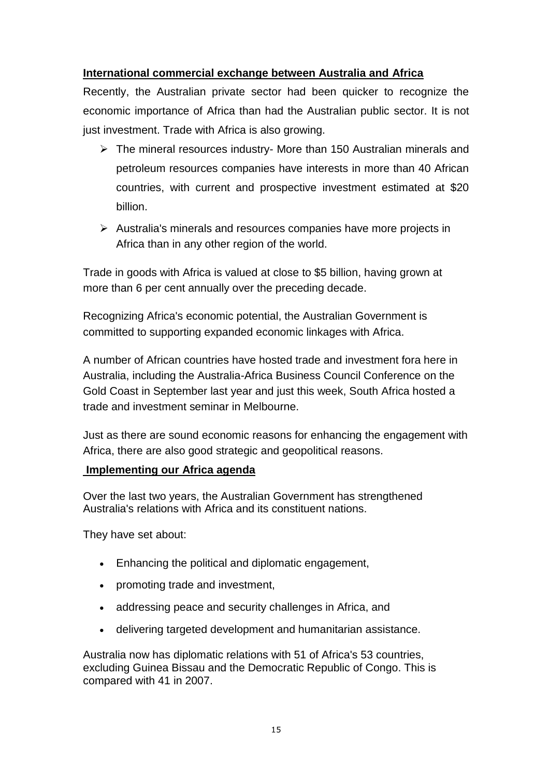#### **International commercial exchange between Australia and Africa**

Recently, the Australian private sector had been quicker to recognize the economic importance of Africa than had the Australian public sector. It is not just investment. Trade with Africa is also growing.

- $\triangleright$  The mineral resources industry- More than 150 Australian minerals and petroleum resources companies have interests in more than 40 African countries, with current and prospective investment estimated at \$20 billion.
- $\triangleright$  Australia's minerals and resources companies have more projects in Africa than in any other region of the world.

Trade in goods with Africa is valued at close to \$5 billion, having grown at more than 6 per cent annually over the preceding decade.

Recognizing Africa's economic potential, the Australian Government is committed to supporting expanded economic linkages with Africa.

A number of African countries have hosted trade and investment fora here in Australia, including the Australia-Africa Business Council Conference on the Gold Coast in September last year and just this week, South Africa hosted a trade and investment seminar in Melbourne.

Just as there are sound economic reasons for enhancing the engagement with Africa, there are also good strategic and geopolitical reasons.

#### **Implementing our Africa agenda**

Over the last two years, the Australian Government has strengthened Australia's relations with Africa and its constituent nations.

They have set about:

- Enhancing the political and diplomatic engagement,
- promoting trade and investment,
- addressing peace and security challenges in Africa, and
- delivering targeted development and humanitarian assistance.

Australia now has diplomatic relations with 51 of Africa's 53 countries, excluding Guinea Bissau and the Democratic Republic of Congo. This is compared with 41 in 2007.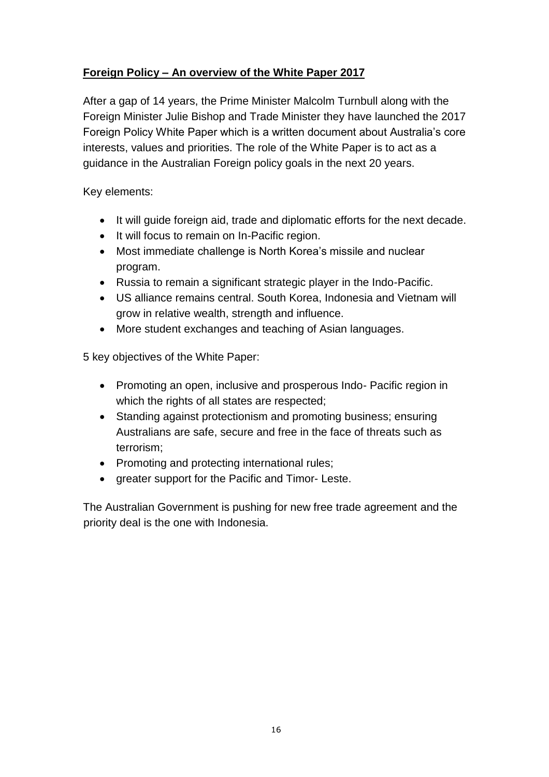# **Foreign Policy – An overview of the White Paper 2017**

After a gap of 14 years, the Prime Minister Malcolm Turnbull along with the Foreign Minister Julie Bishop and Trade Minister they have launched the 2017 Foreign Policy White Paper which is a written document about Australia's core interests, values and priorities. The role of the White Paper is to act as a guidance in the Australian Foreign policy goals in the next 20 years.

Key elements:

- It will guide foreign aid, trade and diplomatic efforts for the next decade.
- It will focus to remain on In-Pacific region.
- Most immediate challenge is North Korea's missile and nuclear program.
- Russia to remain a significant strategic player in the Indo-Pacific.
- US alliance remains central. South Korea, Indonesia and Vietnam will grow in relative wealth, strength and influence.
- More student exchanges and teaching of Asian languages.

5 key objectives of the White Paper:

- Promoting an open, inclusive and prosperous Indo-Pacific region in which the rights of all states are respected;
- Standing against protectionism and promoting business; ensuring Australians are safe, secure and free in the face of threats such as terrorism;
- Promoting and protecting international rules;
- greater support for the Pacific and Timor-Leste.

The Australian Government is pushing for new free trade agreement and the priority deal is the one with Indonesia.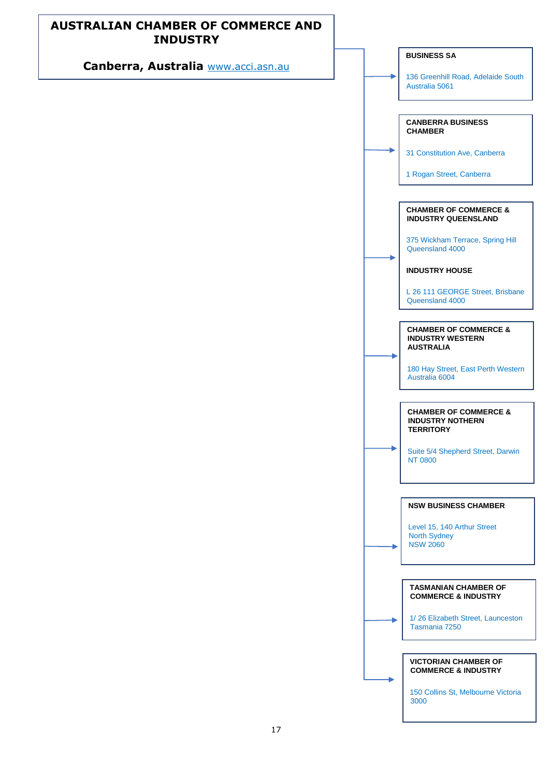